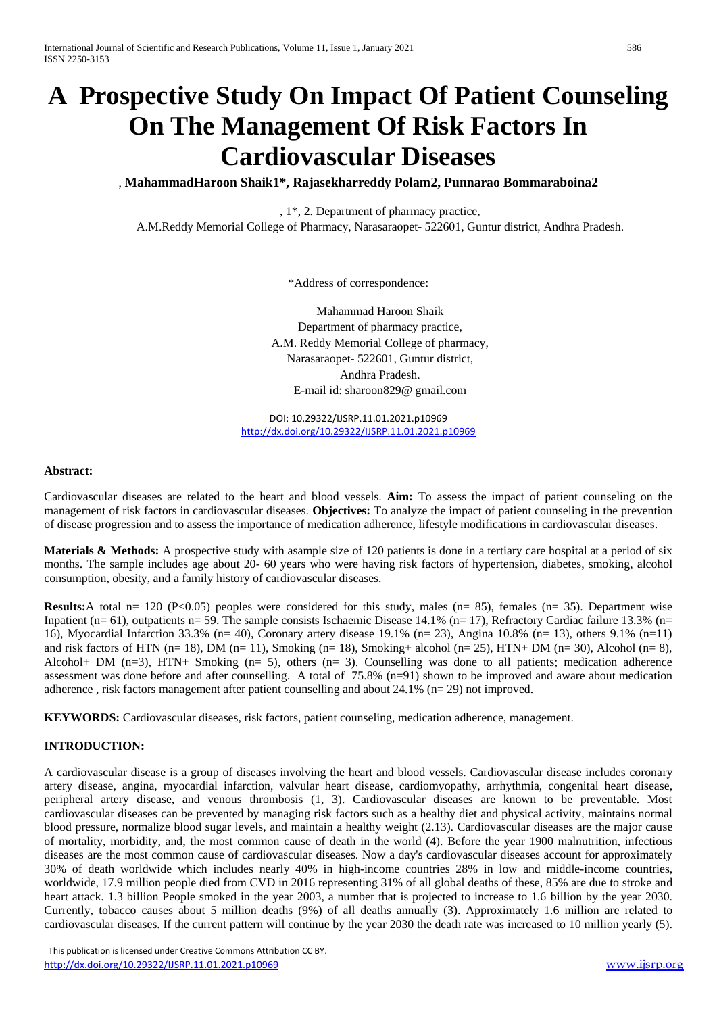# **A Prospective Study On Impact Of Patient Counseling On The Management Of Risk Factors In Cardiovascular Diseases**

, **MahammadHaroon Shaik1\*, Rajasekharreddy Polam2, Punnarao Bommaraboina2**

, 1\*, 2. Department of pharmacy practice,

A.M.Reddy Memorial College of Pharmacy, Narasaraopet- 522601, Guntur district, Andhra Pradesh.

\*Address of correspondence:

Mahammad Haroon Shaik Department of pharmacy practice, A.M. Reddy Memorial College of pharmacy, Narasaraopet- 522601, Guntur district, Andhra Pradesh. E-mail id: sharoon829@ gmail.com

DOI: 10.29322/IJSRP.11.01.2021.p10969 <http://dx.doi.org/10.29322/IJSRP.11.01.2021.p10969>

#### **Abstract:**

Cardiovascular diseases are related to the heart and blood vessels. **Aim:** To assess the impact of patient counseling on the management of risk factors in cardiovascular diseases. **Objectives:** To analyze the impact of patient counseling in the prevention of disease progression and to assess the importance of medication adherence, lifestyle modifications in cardiovascular diseases.

**Materials & Methods:** A prospective study with asample size of 120 patients is done in a tertiary care hospital at a period of six months. The sample includes age about 20- 60 years who were having risk factors of hypertension, diabetes, smoking, alcohol consumption, obesity, and a family history of cardiovascular diseases.

**Results:**A total n= 120 (P<0.05) peoples were considered for this study, males (n= 85), females (n= 35). Department wise Inpatient (n= 61), outpatients n= 59. The sample consists Ischaemic Disease 14.1% (n= 17), Refractory Cardiac failure 13.3% (n= 16), Myocardial Infarction 33.3% (n= 40), Coronary artery disease 19.1% (n= 23), Angina 10.8% (n= 13), others 9.1% (n=11) and risk factors of HTN (n= 18), DM (n= 11), Smoking (n= 18), Smoking+ alcohol (n= 25), HTN+ DM (n= 30), Alcohol (n= 8), Alcohol+ DM  $(n=3)$ , HTN+ Smoking  $(n=5)$ , others  $(n=3)$ . Counselling was done to all patients; medication adherence assessment was done before and after counselling. A total of 75.8% (n=91) shown to be improved and aware about medication adherence , risk factors management after patient counselling and about 24.1% (n= 29) not improved.

**KEYWORDS:** Cardiovascular diseases, risk factors, patient counseling, medication adherence, management.

#### **INTRODUCTION:**

A cardiovascular disease is a group of diseases involving the heart and blood vessels. Cardiovascular disease includes coronary artery disease, angina, myocardial infarction, valvular heart disease, cardiomyopathy, arrhythmia, congenital heart disease, peripheral artery disease, and venous thrombosis (1, 3). Cardiovascular diseases are known to be preventable. Most cardiovascular diseases can be prevented by managing risk factors such as a healthy diet and physical activity, maintains normal blood pressure, normalize blood sugar levels, and maintain a healthy weight (2.13). Cardiovascular diseases are the major cause of mortality, morbidity, and, the most common cause of death in the world (4). Before the year 1900 malnutrition, infectious diseases are the most common cause of cardiovascular diseases. Now a day's cardiovascular diseases account for approximately 30% of death worldwide which includes nearly 40% in high-income countries 28% in low and middle-income countries, worldwide, 17.9 million people died from CVD in 2016 representing 31% of all global deaths of these, 85% are due to stroke and heart attack. 1.3 billion People smoked in the year 2003, a number that is projected to increase to 1.6 billion by the year 2030. Currently, tobacco causes about 5 million deaths (9%) of all deaths annually (3). Approximately 1.6 million are related to cardiovascular diseases. If the current pattern will continue by the year 2030 the death rate was increased to 10 million yearly (5).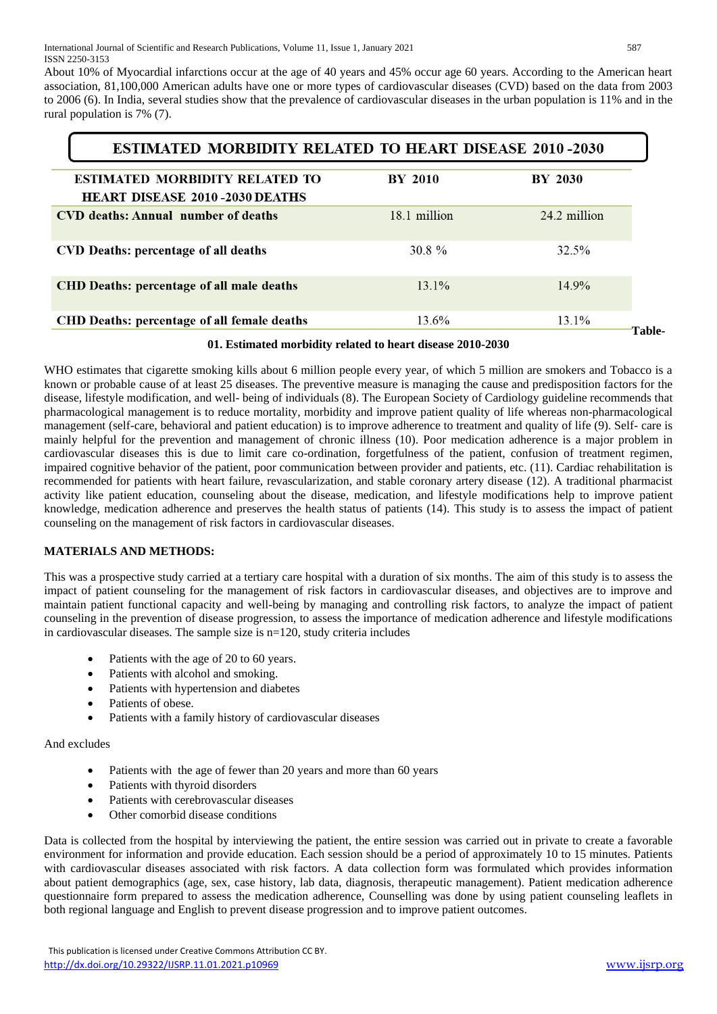About 10% of Myocardial infarctions occur at the age of 40 years and 45% occur age 60 years. According to the American heart association, 81,100,000 American adults have one or more types of cardiovascular diseases (CVD) based on the data from 2003 to 2006 (6). In India, several studies show that the prevalence of cardiovascular diseases in the urban population is 11% and in the rural population is 7% (7).

| <b>ESTIMATED MORBIDITY RELATED TO HEART DISEASE 2010-2030</b>                                                      |              |              |  |  |  |  |  |
|--------------------------------------------------------------------------------------------------------------------|--------------|--------------|--|--|--|--|--|
| <b>BY 2010</b><br><b>BY 2030</b><br><b>ESTIMATED MORBIDITY RELATED TO</b><br><b>HEART DISEASE 2010-2030 DEATHS</b> |              |              |  |  |  |  |  |
| CVD deaths: Annual number of deaths                                                                                | 18.1 million | 24.2 million |  |  |  |  |  |
| CVD Deaths: percentage of all deaths                                                                               | $30.8 \%$    | 32.5%        |  |  |  |  |  |
| <b>CHD Deaths: percentage of all male deaths</b>                                                                   | 131%         | $14.9\%$     |  |  |  |  |  |
| <b>CHD Deaths: percentage of all female deaths</b>                                                                 | 13.6%        | 13.1%        |  |  |  |  |  |

#### **01. Estimated morbidity related to heart disease 2010-2030**

WHO estimates that cigarette smoking kills about 6 million people every year, of which 5 million are smokers and Tobacco is a known or probable cause of at least 25 diseases. The preventive measure is managing the cause and predisposition factors for the disease, lifestyle modification, and well- being of individuals (8). The European Society of Cardiology guideline recommends that pharmacological management is to reduce mortality, morbidity and improve patient quality of life whereas non-pharmacological management (self-care, behavioral and patient education) is to improve adherence to treatment and quality of life (9). Self- care is mainly helpful for the prevention and management of chronic illness (10). Poor medication adherence is a major problem in cardiovascular diseases this is due to limit care co-ordination, forgetfulness of the patient, confusion of treatment regimen, impaired cognitive behavior of the patient, poor communication between provider and patients, etc. (11). Cardiac rehabilitation is recommended for patients with heart failure, revascularization, and stable coronary artery disease (12). A traditional pharmacist activity like patient education, counseling about the disease, medication, and lifestyle modifications help to improve patient knowledge, medication adherence and preserves the health status of patients (14). This study is to assess the impact of patient counseling on the management of risk factors in cardiovascular diseases.

# **MATERIALS AND METHODS:**

This was a prospective study carried at a tertiary care hospital with a duration of six months. The aim of this study is to assess the impact of patient counseling for the management of risk factors in cardiovascular diseases, and objectives are to improve and maintain patient functional capacity and well-being by managing and controlling risk factors, to analyze the impact of patient counseling in the prevention of disease progression, to assess the importance of medication adherence and lifestyle modifications in cardiovascular diseases. The sample size is n=120, study criteria includes

- Patients with the age of 20 to 60 years.
- Patients with alcohol and smoking.
- Patients with hypertension and diabetes
- Patients of obese.
- Patients with a family history of cardiovascular diseases

### And excludes

- Patients with the age of fewer than 20 years and more than 60 years
- Patients with thyroid disorders
- Patients with cerebrovascular diseases
- Other comorbid disease conditions

Data is collected from the hospital by interviewing the patient, the entire session was carried out in private to create a favorable environment for information and provide education. Each session should be a period of approximately 10 to 15 minutes. Patients with cardiovascular diseases associated with risk factors. A data collection form was formulated which provides information about patient demographics (age, sex, case history, lab data, diagnosis, therapeutic management). Patient medication adherence questionnaire form prepared to assess the medication adherence, Counselling was done by using patient counseling leaflets in both regional language and English to prevent disease progression and to improve patient outcomes.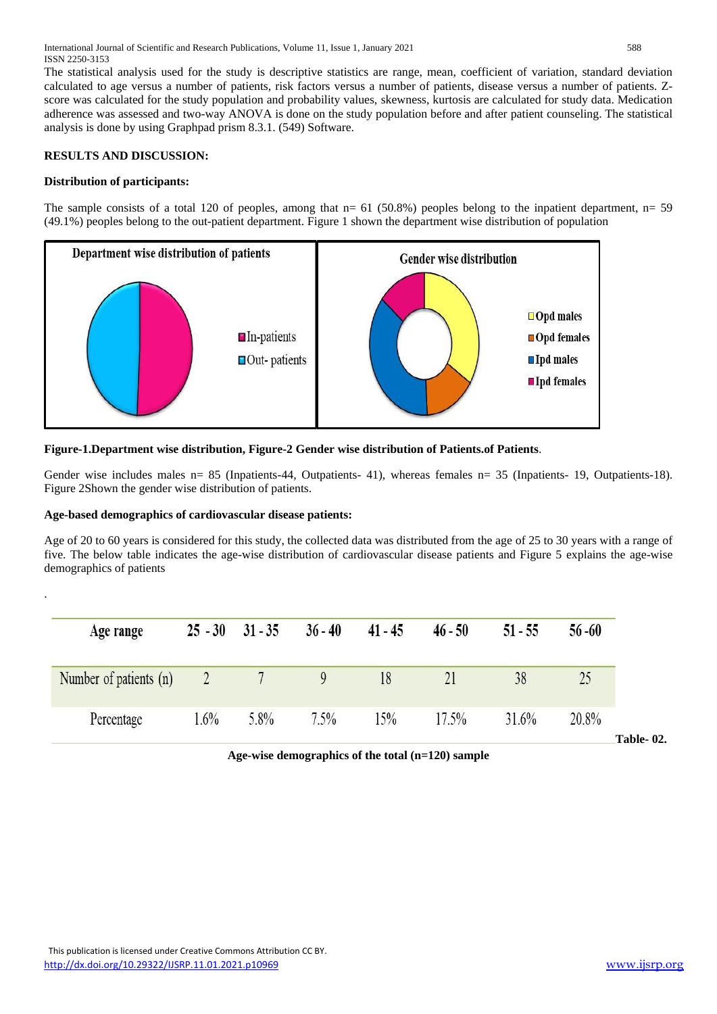The statistical analysis used for the study is descriptive statistics are range, mean, coefficient of variation, standard deviation calculated to age versus a number of patients, risk factors versus a number of patients, disease versus a number of patients. Zscore was calculated for the study population and probability values, skewness, kurtosis are calculated for study data. Medication adherence was assessed and two-way ANOVA is done on the study population before and after patient counseling. The statistical analysis is done by using Graphpad prism 8.3.1. (549) Software.

## **RESULTS AND DISCUSSION:**

## **Distribution of participants:**

.

The sample consists of a total 120 of peoples, among that  $n= 61$  (50.8%) peoples belong to the inpatient department,  $n= 59$ (49.1%) peoples belong to the out-patient department. Figure 1 shown the department wise distribution of population



## **Figure-1.Department wise distribution, Figure-2 Gender wise distribution of Patients.of Patients**.

Gender wise includes males n= 85 (Inpatients-44, Outpatients- 41), whereas females n= 35 (Inpatients- 19, Outpatients- 18). Figure 2Shown the gender wise distribution of patients.

### **Age-based demographics of cardiovascular disease patients:**

Age of 20 to 60 years is considered for this study, the collected data was distributed from the age of 25 to 30 years with a range of five. The below table indicates the age-wise distribution of cardiovascular disease patients and Figure 5 explains the age-wise demographics of patients

| 38<br>18 | Age range              |      | $25 - 30$ $31 - 35$ | $36 - 40$ | $41 - 45$ | $46 - 50$ | $51 - 55$ | $56 - 60$ |
|----------|------------------------|------|---------------------|-----------|-----------|-----------|-----------|-----------|
|          | Number of patients (n) |      |                     |           |           |           |           |           |
|          | Percentage             | 1.6% | 5.8%                | 7.5%      | 15%       | 17.5%     | 31.6%     | 20.8%     |

**Age-wise demographics of the total (n=120) sample**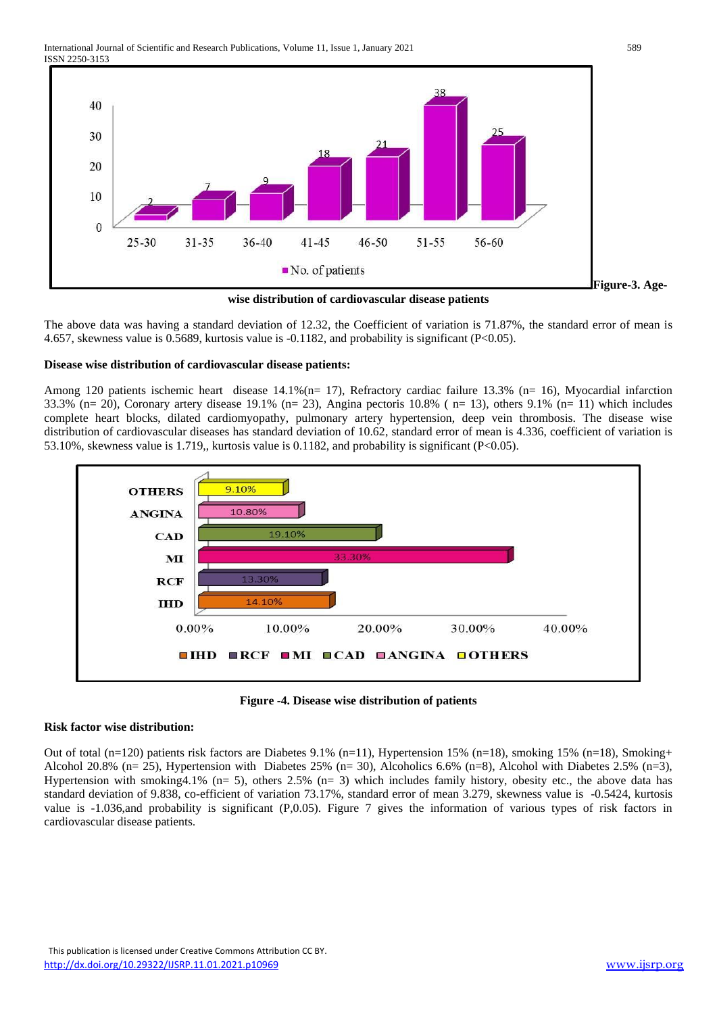

**wise distribution of cardiovascular disease patients**

The above data was having a standard deviation of 12.32, the Coefficient of variation is 71.87%, the standard error of mean is 4.657, skewness value is 0.5689, kurtosis value is -0.1182, and probability is significant (P<0.05).

### **Disease wise distribution of cardiovascular disease patients:**

Among 120 patients ischemic heart disease 14.1%(n= 17), Refractory cardiac failure 13.3% (n= 16), Myocardial infarction  $33.3\%$  (n= 20), Coronary artery disease 19.1% (n= 23), Angina pectoris 10.8% (n= 13), others 9.1% (n= 11) which includes complete heart blocks, dilated cardiomyopathy, pulmonary artery hypertension, deep vein thrombosis. The disease wise distribution of cardiovascular diseases has standard deviation of 10.62, standard error of mean is 4.336, coefficient of variation is 53.10%, skewness value is 1.719,, kurtosis value is 0.1182, and probability is significant (P<0.05).



**Figure -4. Disease wise distribution of patients**

### **Risk factor wise distribution:**

Out of total (n=120) patients risk factors are Diabetes 9.1% (n=11), Hypertension 15% (n=18), smoking 15% (n=18), Smoking+ Alcohol 20.8% (n= 25), Hypertension with Diabetes 25% (n= 30), Alcoholics 6.6% (n=8), Alcohol with Diabetes 2.5% (n=3), Hypertension with smoking 4.1% (n= 5), others 2.5% (n= 3) which includes family history, obesity etc., the above data has standard deviation of 9.838, co-efficient of variation 73.17%, standard error of mean 3.279, skewness value is -0.5424, kurtosis value is -1.036,and probability is significant (P,0.05). Figure 7 gives the information of various types of risk factors in cardiovascular disease patients.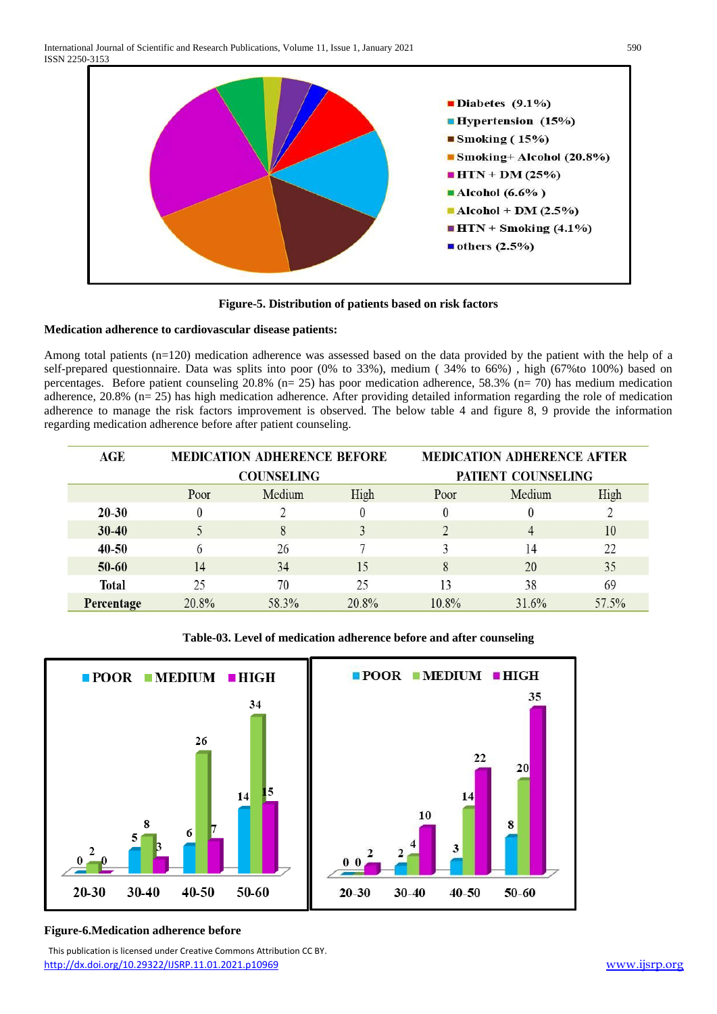

**Figure-5. Distribution of patients based on risk factors**

### **Medication adherence to cardiovascular disease patients:**

Among total patients (n=120) medication adherence was assessed based on the data provided by the patient with the help of a self-prepared questionnaire. Data was splits into poor (0% to 33%), medium ( 34% to 66%) , high (67%to 100%) based on percentages. Before patient counseling 20.8% (n= 25) has poor medication adherence, 58.3% (n= 70) has medium medication adherence, 20.8% (n= 25) has high medication adherence. After providing detailed information regarding the role of medication adherence to manage the risk factors improvement is observed. The below table 4 and figure 8, 9 provide the information regarding medication adherence before after patient counseling.

| AGE          |       | <b>MEDICATION ADHERENCE BEFORE</b> |       | <b>MEDICATION ADHERENCE AFTER</b> |        |       |  |  |
|--------------|-------|------------------------------------|-------|-----------------------------------|--------|-------|--|--|
|              |       | <b>COUNSELING</b>                  |       | PATIENT COUNSELING                |        |       |  |  |
|              | Poor  | Medium                             | High  | Poor                              | Medium | High  |  |  |
| $20 - 30$    |       |                                    |       | $\theta$                          |        |       |  |  |
| $30 - 40$    |       | 8                                  |       |                                   | 4      | 10    |  |  |
| $40 - 50$    |       | 26                                 |       |                                   | 14     | 22    |  |  |
| $50 - 60$    | 14    | 34                                 | 15    | 8                                 | 20     | 35    |  |  |
| <b>Total</b> | 25    | 70                                 | 25    | 13                                | 38     | 69    |  |  |
| Percentage   | 20.8% | 58.3%                              | 20.8% | $10.8\%$                          | 31.6%  | 57.5% |  |  |

**Table-03. Level of medication adherence before and after counseling**



# **Figure-6.Medication adherence before**

 This publication is licensed under Creative Commons Attribution CC BY. <http://dx.doi.org/10.29322/IJSRP.11.01.2021.p10969> [www.ijsrp.org](http://ijsrp.org/)